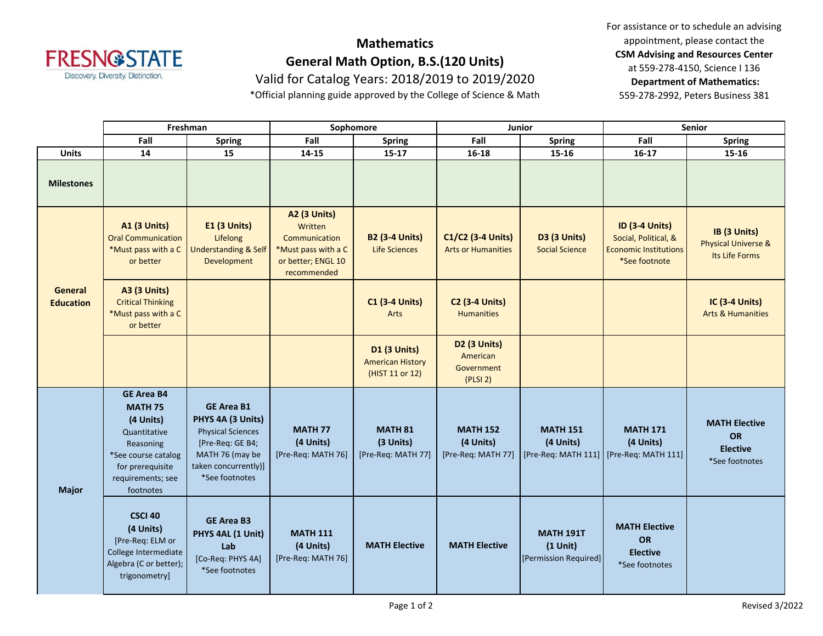

## **Mathematics General Math Option, B.S.(120 Units)**

Valid for Catalog Years: 2018/2019 to 2019/2020

\*Official planning guide approved by the College of Science & Math

For assistance or to schedule an advising appointment, please contact the **CSM Advising and Resources Center** at 559-278-4150, Science I 136 **Department of Mathematics:** 559-278-2992, Peters Business 381

|                                    | Freshman                                                                                                                                                   |                                                                                                                                                     | Sophomore                                                                                                   |                                                                   | <b>Junior</b>                                             |                                                         | <b>Senior</b>                                                                                  |                                                                        |
|------------------------------------|------------------------------------------------------------------------------------------------------------------------------------------------------------|-----------------------------------------------------------------------------------------------------------------------------------------------------|-------------------------------------------------------------------------------------------------------------|-------------------------------------------------------------------|-----------------------------------------------------------|---------------------------------------------------------|------------------------------------------------------------------------------------------------|------------------------------------------------------------------------|
|                                    | Fall                                                                                                                                                       | <b>Spring</b>                                                                                                                                       | Fall                                                                                                        | <b>Spring</b>                                                     | Fall                                                      | <b>Spring</b>                                           | Fall                                                                                           | <b>Spring</b>                                                          |
| <b>Units</b>                       | 14                                                                                                                                                         | 15                                                                                                                                                  | 14-15                                                                                                       | $15-17$                                                           | $16 - 18$                                                 | $15 - 16$                                               | $16-17$                                                                                        | 15-16                                                                  |
| <b>Milestones</b>                  |                                                                                                                                                            |                                                                                                                                                     |                                                                                                             |                                                                   |                                                           |                                                         |                                                                                                |                                                                        |
| <b>General</b><br><b>Education</b> | <b>A1 (3 Units)</b><br><b>Oral Communication</b><br>*Must pass with a C<br>or better                                                                       | <b>E1 (3 Units)</b><br>Lifelong<br><b>Understanding &amp; Self</b><br>Development                                                                   | <b>A2 (3 Units)</b><br>Written<br>Communication<br>*Must pass with a C<br>or better; ENGL 10<br>recommended | <b>B2 (3-4 Units)</b><br><b>Life Sciences</b>                     | C1/C2 (3-4 Units)<br><b>Arts or Humanities</b>            | D3 (3 Units)<br><b>Social Science</b>                   | <b>ID (3-4 Units)</b><br>Social, Political, &<br><b>Economic Institutions</b><br>*See footnote | IB (3 Units)<br><b>Physical Universe &amp;</b><br>Its Life Forms       |
|                                    | <b>A3 (3 Units)</b><br><b>Critical Thinking</b><br>*Must pass with a C<br>or better                                                                        |                                                                                                                                                     |                                                                                                             | <b>C1 (3-4 Units)</b><br>Arts                                     | <b>C2 (3-4 Units)</b><br><b>Humanities</b>                |                                                         |                                                                                                | <b>IC (3-4 Units)</b><br><b>Arts &amp; Humanities</b>                  |
|                                    |                                                                                                                                                            |                                                                                                                                                     |                                                                                                             | <b>D1 (3 Units)</b><br><b>American History</b><br>(HIST 11 or 12) | <b>D2 (3 Units)</b><br>American<br>Government<br>(PLSI 2) |                                                         |                                                                                                |                                                                        |
| <b>Major</b>                       | <b>GE Area B4</b><br><b>MATH 75</b><br>(4 Units)<br>Quantitative<br>Reasoning<br>*See course catalog<br>for prerequisite<br>requirements; see<br>footnotes | <b>GE Area B1</b><br>PHYS 4A (3 Units)<br><b>Physical Sciences</b><br>[Pre-Req: GE B4;<br>MATH 76 (may be<br>taken concurrently)]<br>*See footnotes | <b>MATH 77</b><br>(4 Units)<br>[Pre-Req: MATH 76]                                                           | <b>MATH 81</b><br>(3 Units)<br>[Pre-Req: MATH 77]                 | <b>MATH 152</b><br>(4 Units)<br>[Pre-Req: MATH 77]        | <b>MATH 151</b><br>(4 Units)                            | <b>MATH 171</b><br>(4 Units)<br>[Pre-Req: MATH 111]   [Pre-Req: MATH 111]                      | <b>MATH Elective</b><br><b>OR</b><br><b>Elective</b><br>*See footnotes |
|                                    | <b>CSCI 40</b><br>(4 Units)<br>[Pre-Req: ELM or<br>College Intermediate<br>Algebra (C or better);<br>trigonometry]                                         | <b>GE Area B3</b><br>PHYS 4AL (1 Unit)<br>Lab<br>[Co-Req: PHYS 4A]<br>*See footnotes                                                                | <b>MATH 111</b><br>(4 Units)<br>[Pre-Req: MATH 76]                                                          | <b>MATH Elective</b>                                              | <b>MATH Elective</b>                                      | <b>MATH 191T</b><br>$(1$ Unit)<br>[Permission Required] | <b>MATH Elective</b><br><b>OR</b><br><b>Elective</b><br>*See footnotes                         |                                                                        |